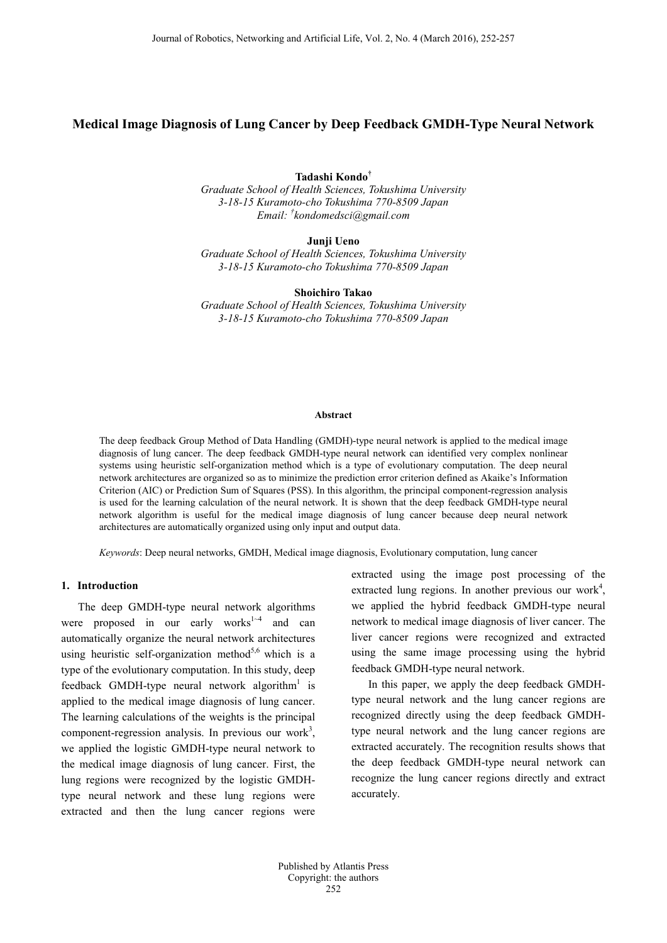# **Medical Image Diagnosis of Lung Cancer by Deep Feedback GMDH-Type Neural Network**

#### **Tadashi Kondo†**

*Graduate School of Health Sciences, Tokushima University 3-18-15 Kuramoto-cho Tokushima 770-8509 Japan Email: † kondomedsci@gmail.com*

### **Junji Ueno**

*Graduate School of Health Sciences, Tokushima University 3-18-15 Kuramoto-cho Tokushima 770-8509 Japan*

**Shoichiro Takao**

*Graduate School of Health Sciences, Tokushima University 3-18-15 Kuramoto-cho Tokushima 770-8509 Japan*

#### **Abstract**

The deep feedback Group Method of Data Handling (GMDH)-type neural network is applied to the medical image diagnosis of lung cancer. The deep feedback GMDH-type neural network can identified very complex nonlinear systems using heuristic self-organization method which is a type of evolutionary computation. The deep neural network architectures are organized so as to minimize the prediction error criterion defined as Akaike's Information Criterion (AIC) or Prediction Sum of Squares (PSS). In this algorithm, the principal component-regression analysis is used for the learning calculation of the neural network. It is shown that the deep feedback GMDH-type neural network algorithm is useful for the medical image diagnosis of lung cancer because deep neural network architectures are automatically organized using only input and output data.

*Keywords*: Deep neural networks, GMDH, Medical image diagnosis, Evolutionary computation, lung cancer

## **1. Introduction**

The deep GMDH-type neural network algorithms were proposed in our early works<sup>1~4</sup> and can automatically organize the neural network architectures using heuristic self-organization method<sup>5,6</sup> which is a type of the evolutionary computation. In this study, deep feedback GMDH-type neural network algorithm<sup>1</sup> is applied to the medical image diagnosis of lung cancer. The learning calculations of the weights is the principal component-regression analysis. In previous our work<sup>3</sup>, we applied the logistic GMDH-type neural network to the medical image diagnosis of lung cancer. First, the lung regions were recognized by the logistic GMDHtype neural network and these lung regions were extracted and then the lung cancer regions were

extracted using the image post processing of the extracted lung regions. In another previous our work<sup>4</sup>, we applied the hybrid feedback GMDH-type neural network to medical image diagnosis of liver cancer. The liver cancer regions were recognized and extracted using the same image processing using the hybrid feedback GMDH-type neural network.

In this paper, we apply the deep feedback GMDHtype neural network and the lung cancer regions are recognized directly using the deep feedback GMDHtype neural network and the lung cancer regions are extracted accurately. The recognition results shows that the deep feedback GMDH-type neural network can recognize the lung cancer regions directly and extract accurately.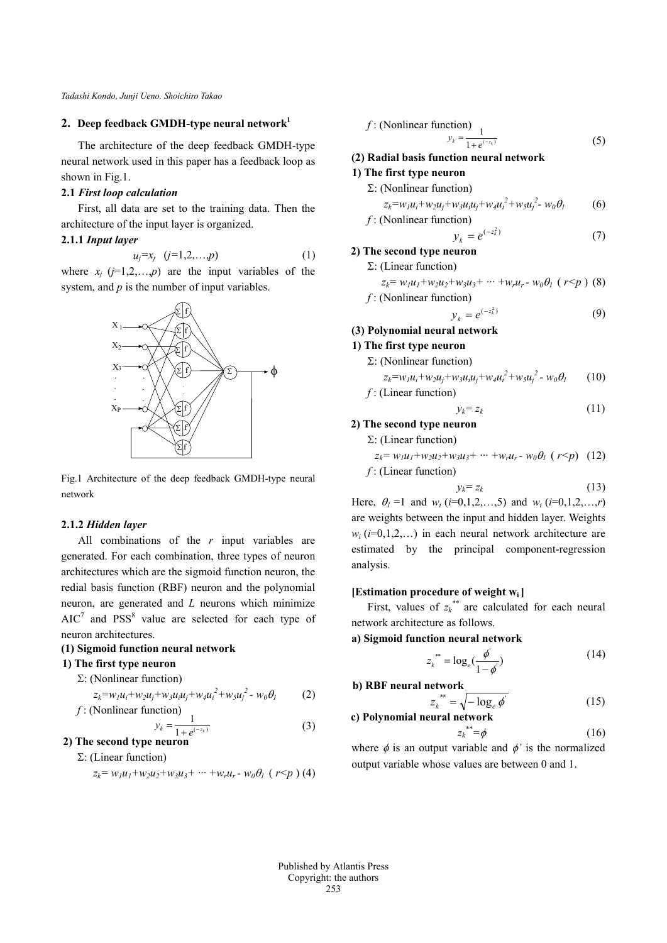*Tadashi Kondo, Junji Ueno. Shoichiro Takao*

# **2. Deep feedback GMDH-type neural network**<sup>1</sup>

The architecture of the deep feedback GMDH-type neural network used in this paper has a feedback loop as shown in Fig.1.

### **2.1** *First loop calculation*

First, all data are set to the training data. Then the architecture of the input layer is organized.

# **2.1.1** *Input layer*

 $u_j = x_j \quad (j=1,2,...,p)$  (1) where  $x_j$  ( $j=1,2,...,p$ ) are the input variables of the





Fig.1 Architecture of the deep feedback GMDH-type neural network

#### **2.1.2** *Hidden layer*

All combinations of the *r* input variables are generated. For each combination, three types of neuron architectures which are the sigmoid function neuron, the redial basis function (RBF) neuron and the polynomial neuron, are generated and *L* neurons which minimize  $AIC<sup>7</sup>$  and  $PSS<sup>8</sup>$  value are selected for each type of neuron architectures.

# **(1) Sigmoid function neural network**

# **1) The first type neuron**

Σ: (Nonlinear function)

$$
z_k = w_l u_i + w_2 u_j + w_3 u_i u_j + w_4 u_i^2 + w_5 u_j^2 - w_0 \theta_l
$$
 (2)  
*f*: (Nonlinear function)

$$
y_k = \frac{1}{1 + e^{(-z_k)}}
$$
(3)  
2) The second type neuron

Σ: (Linear function)

$$
z_k = w_l u_l + w_2 u_2 + w_3 u_3 + \cdots + w_r u_r - w_0 \theta_l \ (r \leq p) (4)
$$

*f*: (Nonlinear function)  
\n
$$
y_k = \frac{1}{1 + e^{(-z_k)}}
$$
 (5)  
\n(2) Radial basis function neural network  
\n1) The first type neuron  
\nΣ: (Nonlinear function)  
\n $z_k = w_l u_i + w_2 u_j + w_3 u_i u_j + w_4 u_i^2 + w_5 u_j^2 - w_0 \theta_l$  (6)  
\n*f*: (Nonlinear function)  
\n $y_k = e^{(-z_k^2)}$  (7)  
\n2) The second type neuron  
\nΣ: (Linear function)  
\n $z_k = w_l u_l + w_2 u_2 + w_3 u_3 + \cdots + w_r u_r - w_0 \theta_l$  (r *p*) (8)  
\n*f*: (Nonlinear function)  
\n $y_k = e^{(-z_k^2)}$  (9)

# **(3) Polynomial neural network**

# **1) The first type neuron**

- Σ: (Nonlinear function)
- $z_k = w_l u_i + w_2 u_j + w_3 u_i u_j + w_4 u_i^2 + w_5 u_j^2 w_0 \theta_l$  (10) *f* : (Linear function)

$$
(2.011) \times 10^{-4}
$$

$$
y_k = z_k \tag{11}
$$

## **2) The second type neuron**

Σ: (Linear function)

$$
z_k = w_l u_l + w_2 u_2 + w_3 u_3 + \dots + w_r u_r - w_0 \theta_l \quad (r < p) \quad (12)
$$
\n
$$
f: \text{(Linear function)}
$$

$$
(13)
$$

Here,  $\theta_l = 1$  and  $w_i$  (*i*=0,1,2,…,5) and  $w_i$  (*i*=0,1,2,…,*r*) are weights between the input and hidden layer. Weights  $w_i$  ( $i=0,1,2,...$ ) in each neural network architecture are estimated by the principal component-regression analysis.

 $y_k = z_k$ 

## **[Estimation procedure of weight wi ]**

First, values of  $z_k^{**}$  are calculated for each neural network architecture as follows.

#### **a) Sigmoid function neural network**

$$
z_k^{**} = \log_e(\frac{\phi'}{1-\phi'})\tag{14}
$$

**b) RBF neural network**

$$
z_k^{**} = \sqrt{-\log_e \phi'}
$$
 (15)  
c) Polynomial neural network

$$
e^* = \phi \tag{16}
$$

where  $\phi$  is an output variable and  $\phi'$  is the normalized output variable whose values are between 0 and 1.

*zk*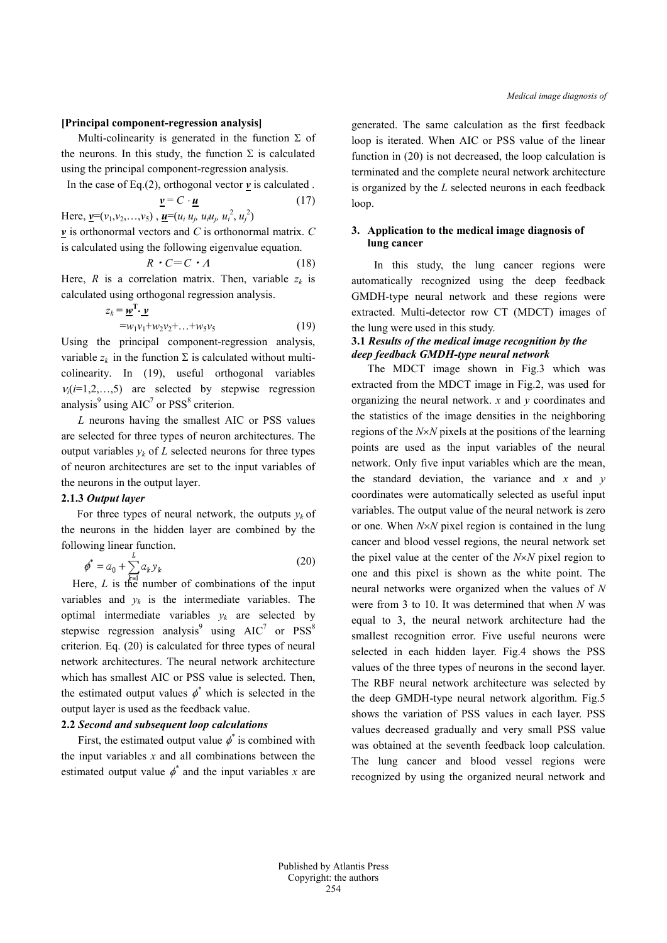### **[Principal component-regression analysis]**

Multi-colinearity is generated in the function  $\Sigma$  of the neurons. In this study, the function  $\Sigma$  is calculated using the principal component-regression analysis.

In the case of Eq.(2), orthogonal vector  $\nu$  is calculated.

$$
\underline{\mathbf{v}} = C \cdot \underline{\mathbf{u}} \tag{17}
$$

Here,  $\underline{v}=(v_1,v_2,\ldots,v_5)$ ,  $\underline{u}=(u_i u_j, u_i u_j, u_i^2, u_j^2)$ 

*v* is orthonormal vectors and *C* is orthonormal matrix. *C* is calculated using the following eigenvalue equation.

$$
R \cdot C = C \cdot A \tag{18}
$$

Here, *R* is a correlation matrix. Then, variable  $z_k$  is calculated using orthogonal regression analysis.

$$
z_k = \underline{\mathbf{w}}^{\mathrm{T}} \cdot \underline{\mathbf{v}} \\
= w_1 v_1 + w_2 v_2 + \dots + w_5 v_5
$$
\n(19)

Using the principal component-regression analysis, variable  $z_k$  in the function  $\Sigma$  is calculated without multicolinearity. In (19), useful orthogonal variables  $v_i(i=1,2,...,5)$  are selected by stepwise regression analysis $9$  using AIC<sup>7</sup> or PSS $8$  criterion.

*L* neurons having the smallest AIC or PSS values are selected for three types of neuron architectures. The output variables  $y_k$  of *L* selected neurons for three types of neuron architectures are set to the input variables of the neurons in the output layer.

### **2.1.3** *Output layer*

For three types of neural network, the outputs  $y_k$  of the neurons in the hidden layer are combined by the following linear function.

$$
\phi^* = a_0 + \sum_{k=1}^{L} a_k y_k \tag{20}
$$

Here,  $L$  is the number of combinations of the input variables and  $y_k$  is the intermediate variables. The optimal intermediate variables  $y_k$  are selected by stepwise regression analysis<sup>9</sup> using  $AIC<sup>7</sup>$  or  $PSS<sup>8</sup>$ criterion. Eq. (20) is calculated for three types of neural network architectures. The neural network architecture which has smallest AIC or PSS value is selected. Then, the estimated output values  $\phi^*$  which is selected in the output layer is used as the feedback value.

# **2.2** *Second and subsequent loop calculations*

First, the estimated output value  $\phi^*$  is combined with the input variables *x* and all combinations between the estimated output value  $\phi^*$  and the input variables *x* are generated. The same calculation as the first feedback loop is iterated. When AIC or PSS value of the linear function in (20) is not decreased, the loop calculation is terminated and the complete neural network architecture is organized by the *L* selected neurons in each feedback loop.

## **3. Application to the medical image diagnosis of lung cancer**

In this study, the lung cancer regions were automatically recognized using the deep feedback GMDH-type neural network and these regions were extracted. Multi-detector row CT (MDCT) images of the lung were used in this study.

# **3.1** *Results of the medical image recognition by the deep feedback GMDH-type neural network*

The MDCT image shown in Fig.3 which was extracted from the MDCT image in Fig.2, was used for organizing the neural network. *x* and *y* coordinates and the statistics of the image densities in the neighboring regions of the *N*×*N* pixels at the positions of the learning points are used as the input variables of the neural network. Only five input variables which are the mean, the standard deviation, the variance and  $x$  and  $y$ coordinates were automatically selected as useful input variables. The output value of the neural network is zero or one. When *N*×*N* pixel region is contained in the lung cancer and blood vessel regions, the neural network set the pixel value at the center of the *N*×*N* pixel region to one and this pixel is shown as the white point. The neural networks were organized when the values of *N* were from 3 to 10. It was determined that when *N* was equal to 3, the neural network architecture had the smallest recognition error. Five useful neurons were selected in each hidden layer. Fig.4 shows the PSS values of the three types of neurons in the second layer. The RBF neural network architecture was selected by the deep GMDH-type neural network algorithm. Fig.5 shows the variation of PSS values in each layer. PSS values decreased gradually and very small PSS value was obtained at the seventh feedback loop calculation. The lung cancer and blood vessel regions were recognized by using the organized neural network and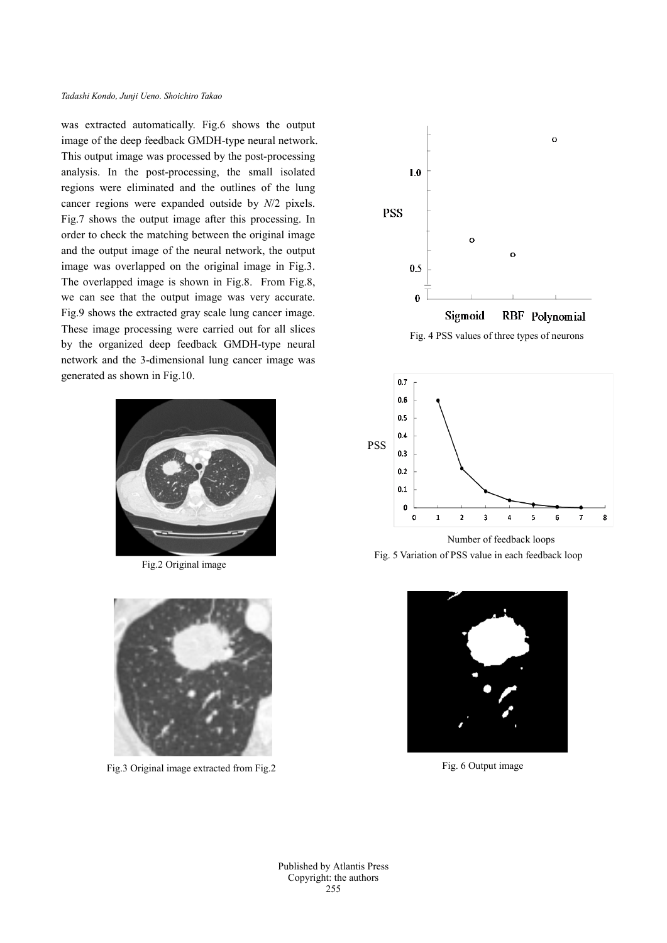was extracted automatically. Fig.6 shows the output image of the deep feedback GMDH-type neural network. This output image was processed by the post-processing analysis. In the post-processing, the small isolated regions were eliminated and the outlines of the lung cancer regions were expanded outside by *N*/2 pixels. Fig.7 shows the output image after this processing. In order to check the matching between the original image and the output image of the neural network, the output image was overlapped on the original image in Fig.3. The overlapped image is shown in Fig.8. From Fig.8, we can see that the output image was very accurate. Fig.9 shows the extracted gray scale lung cancer image. These image processing were carried out for all slices by the organized deep feedback GMDH-type neural network and the 3-dimensional lung cancer image was generated as shown in Fig.10.



Fig.2 Original image



Fig.3 Original image extracted from Fig.2



Fig. 4 PSS values of three types of neurons



Fig. 5 Variation of PSS value in each feedback loop



Fig. 6 Output image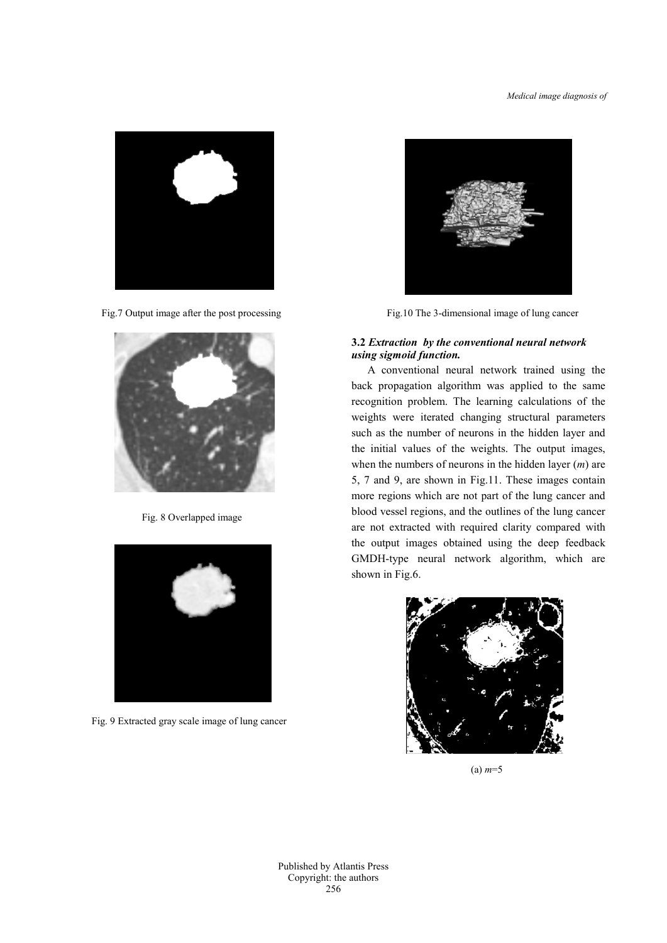

Fig.7 Output image after the post processing



Fig. 8 Overlapped image



Fig. 9 Extracted gray scale image of lung cancer



Fig.10 The 3-dimensional image of lung cancer

# **3.2** *Extraction by the conventional neural network using sigmoid function.*

A conventional neural network trained using the back propagation algorithm was applied to the same recognition problem. The learning calculations of the weights were iterated changing structural parameters such as the number of neurons in the hidden layer and the initial values of the weights. The output images, when the numbers of neurons in the hidden layer (*m*) are 5, 7 and 9, are shown in Fig.11. These images contain more regions which are not part of the lung cancer and blood vessel regions, and the outlines of the lung cancer are not extracted with required clarity compared with the output images obtained using the deep feedback GMDH-type neural network algorithm, which are shown in Fig.6.



(a) *m*=5